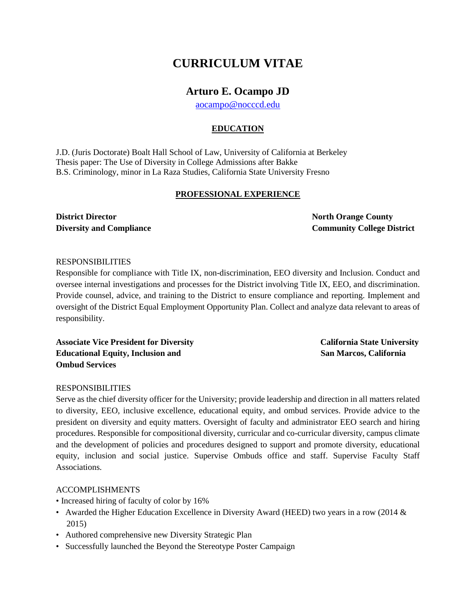## **CURRICULUM VITAE**

### **Arturo E. Ocampo JD**

[aocampo@nocccd.edu](mailto:aocampo@nocccd.edu)

### **EDUCATION**

J.D. (Juris Doctorate) Boalt Hall School of Law, University of California at Berkeley Thesis paper: The Use of Diversity in College Admissions after Bakke B.S. Criminology, minor in La Raza Studies, California State University Fresno

#### **PROFESSIONAL EXPERIENCE**

**District Director** North Orange County

**Diversity and Compliance Community College District**

#### RESPONSIBILITIES

Responsible for compliance with Title IX, non-discrimination, EEO diversity and Inclusion. Conduct and oversee internal investigations and processes for the District involving Title IX, EEO, and discrimination. Provide counsel, advice, and training to the District to ensure compliance and reporting. Implement and oversight of the District Equal Employment Opportunity Plan. Collect and analyze data relevant to areas of responsibility.

**Associate Vice President for Diversity California State University**  Educational Equity, Inclusion and San Marcos, California **San Marcos**, California **Ombud Services** 

#### RESPONSIBILITIES

Serve as the chief diversity officer for the University; provide leadership and direction in all matters related to diversity, EEO, inclusive excellence, educational equity, and ombud services. Provide advice to the president on diversity and equity matters. Oversight of faculty and administrator EEO search and hiring procedures. Responsible for compositional diversity, curricular and co-curricular diversity, campus climate and the development of policies and procedures designed to support and promote diversity, educational equity, inclusion and social justice. Supervise Ombuds office and staff. Supervise Faculty Staff Associations.

#### ACCOMPLISHMENTS

• Increased hiring of faculty of color by 16%

- Awarded the Higher Education Excellence in Diversity Award (HEED) two years in a row (2014 & 2015)
- Authored comprehensive new Diversity Strategic Plan
- Successfully launched the Beyond the Stereotype Poster Campaign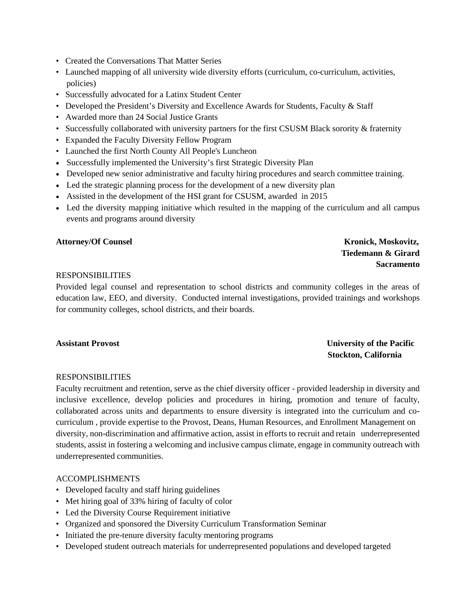- Created the Conversations That Matter Series
- Launched mapping of all university wide diversity efforts (curriculum, co-curriculum, activities, policies)
- Successfully advocated for a Latinx Student Center
- Developed the President's Diversity and Excellence Awards for Students, Faculty & Staff
- Awarded more than 24 Social Justice Grants
- Successfully collaborated with university partners for the first CSUSM Black sorority & fraternity
- Expanded the Faculty Diversity Fellow Program
- Launched the first North County All People's Luncheon
- Successfully implemented the University's first Strategic Diversity Plan
- Developed new senior administrative and faculty hiring procedures and search committee training.
- Led the strategic planning process for the development of a new diversity plan
- Assisted in the development of the HSI grant for CSUSM, awarded in 2015
- Led the diversity mapping initiative which resulted in the mapping of the curriculum and all campus events and programs around diversity

#### Attorney/Of Counsel **Kronick, Moskovitz, Attorney/Of Counsel**

# **Tiedemann & Girard Sacramento**

#### RESPONSIBILITIES

Provided legal counsel and representation to school districts and community colleges in the areas of education law, EEO, and diversity. Conducted internal investigations, provided trainings and workshops for community colleges, school districts, and their boards.

### **Assistant Provost University of the Pacific Stockton, California**

#### RESPONSIBILITIES

Faculty recruitment and retention, serve as the chief diversity officer - provided leadership in diversity and inclusive excellence, develop policies and procedures in hiring, promotion and tenure of faculty, collaborated across units and departments to ensure diversity is integrated into the curriculum and cocurriculum , provide expertise to the Provost, Deans, Human Resources, and Enrollment Management on diversity, non-discrimination and affirmative action, assist in efforts to recruit and retain underrepresented students, assist in fostering a welcoming and inclusive campus climate, engage in community outreach with underrepresented communities.

#### ACCOMPLISHMENTS

- Developed faculty and staff hiring guidelines
- Met hiring goal of 33% hiring of faculty of color
- Led the Diversity Course Requirement initiative
- Organized and sponsored the Diversity Curriculum Transformation Seminar
- Initiated the pre-tenure diversity faculty mentoring programs
- Developed student outreach materials for underrepresented populations and developed targeted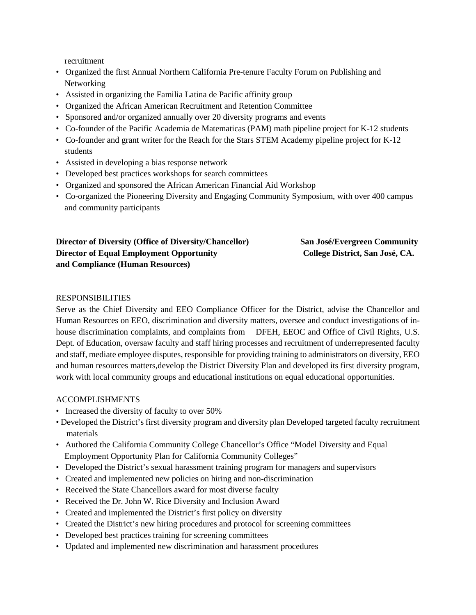recruitment

- Organized the first Annual Northern California Pre-tenure Faculty Forum on Publishing and Networking
- Assisted in organizing the Familia Latina de Pacific affinity group
- Organized the African American Recruitment and Retention Committee
- Sponsored and/or organized annually over 20 diversity programs and events
- Co-founder of the Pacific Academia de Matematicas (PAM) math pipeline project for K-12 students
- Co-founder and grant writer for the Reach for the Stars STEM Academy pipeline project for K-12 students
- Assisted in developing a bias response network
- Developed best practices workshops for search committees
- Organized and sponsored the African American Financial Aid Workshop
- Co-organized the Pioneering Diversity and Engaging Community Symposium, with over 400 campus and community participants

| <b>Director of Diversity (Office of Diversity/Chancellor)</b> |
|---------------------------------------------------------------|
| <b>Director of Equal Employment Opportunity</b>               |
| and Compliance (Human Resources)                              |

**San José/Evergreen Community College District, San José, CA.** 

#### RESPONSIBILITIES

Serve as the Chief Diversity and EEO Compliance Officer for the District, advise the Chancellor and Human Resources on EEO, discrimination and diversity matters, oversee and conduct investigations of inhouse discrimination complaints, and complaints from DFEH, EEOC and Office of Civil Rights, U.S. Dept. of Education, oversaw faculty and staff hiring processes and recruitment of underrepresented faculty and staff, mediate employee disputes, responsible for providing training to administrators on diversity, EEO and human resources matters,develop the District Diversity Plan and developed its first diversity program, work with local community groups and educational institutions on equal educational opportunities.

#### ACCOMPLISHMENTS

- Increased the diversity of faculty to over 50%
- Developed the District's first diversity program and diversity plan Developed targeted faculty recruitment materials
- Authored the California Community College Chancellor's Office "Model Diversity and Equal Employment Opportunity Plan for California Community Colleges"
- Developed the District's sexual harassment training program for managers and supervisors
- Created and implemented new policies on hiring and non-discrimination
- Received the State Chancellors award for most diverse faculty
- Received the Dr. John W. Rice Diversity and Inclusion Award
- Created and implemented the District's first policy on diversity
- Created the District's new hiring procedures and protocol for screening committees
- Developed best practices training for screening committees
- Updated and implemented new discrimination and harassment procedures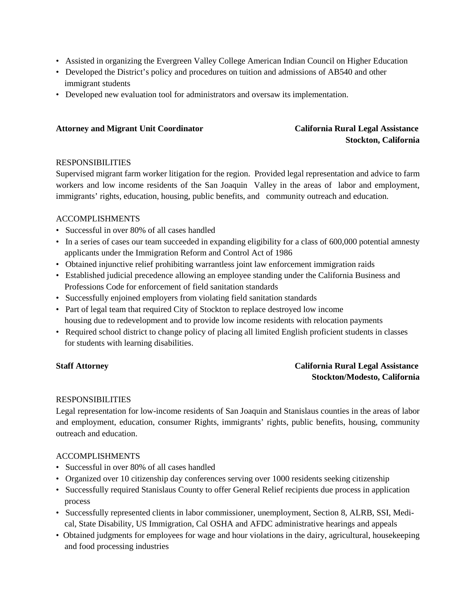- Assisted in organizing the Evergreen Valley College American Indian Council on Higher Education
- Developed the District's policy and procedures on tuition and admissions of AB540 and other immigrant students
- Developed new evaluation tool for administrators and oversaw its implementation.

#### **Attorney and Migrant Unit Coordinator California Rural Legal Assistance**

# **Stockton, California**

#### RESPONSIBILITIES

Supervised migrant farm worker litigation for the region. Provided legal representation and advice to farm workers and low income residents of the San Joaquin Valley in the areas of labor and employment, immigrants' rights, education, housing, public benefits, and community outreach and education.

#### ACCOMPLISHMENTS

- Successful in over 80% of all cases handled
- In a series of cases our team succeeded in expanding eligibility for a class of 600,000 potential amnesty applicants under the Immigration Reform and Control Act of 1986
- Obtained injunctive relief prohibiting warrantless joint law enforcement immigration raids
- Established judicial precedence allowing an employee standing under the California Business and Professions Code for enforcement of field sanitation standards
- Successfully enjoined employers from violating field sanitation standards
- Part of legal team that required City of Stockton to replace destroyed low income housing due to redevelopment and to provide low income residents with relocation payments
- Required school district to change policy of placing all limited English proficient students in classes for students with learning disabilities.

### **Staff Attorney California Rural Legal Assistance Stockton/Modesto, California**

#### RESPONSIBILITIES

Legal representation for low-income residents of San Joaquin and Stanislaus counties in the areas of labor and employment, education, consumer Rights, immigrants' rights, public benefits, housing, community outreach and education.

#### ACCOMPLISHMENTS

- Successful in over 80% of all cases handled
- Organized over 10 citizenship day conferences serving over 1000 residents seeking citizenship
- Successfully required Stanislaus County to offer General Relief recipients due process in application process
- Successfully represented clients in labor commissioner, unemployment, Section 8, ALRB, SSI, Medi cal, State Disability, US Immigration, Cal OSHA and AFDC administrative hearings and appeals
- Obtained judgments for employees for wage and hour violations in the dairy, agricultural, housekeeping and food processing industries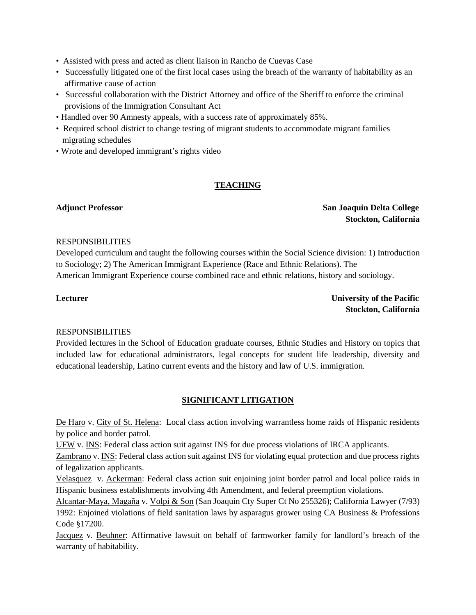- Assisted with press and acted as client liaison in Rancho de Cuevas Case
- Successfully litigated one of the first local cases using the breach of the warranty of habitability as an affirmative cause of action
- Successful collaboration with the District Attorney and office of the Sheriff to enforce the criminal provisions of the Immigration Consultant Act
- Handled over 90 Amnesty appeals, with a success rate of approximately 85%.
- Required school district to change testing of migrant students to accommodate migrant families migrating schedules
- Wrote and developed immigrant's rights video

#### **TEACHING**

#### **Adjunct Professor San Joaquin Delta College Stockton, California**

#### RESPONSIBILITIES

Developed curriculum and taught the following courses within the Social Science division: 1) Introduction to Sociology; 2) The American Immigrant Experience (Race and Ethnic Relations). The American Immigrant Experience course combined race and ethnic relations, history and sociology.

**Lecturer** University of the Pacific  **Stockton, California** 

#### RESPONSIBILITIES

Provided lectures in the School of Education graduate courses, Ethnic Studies and History on topics that included law for educational administrators, legal concepts for student life leadership, diversity and educational leadership, Latino current events and the history and law of U.S. immigration.

#### **SIGNIFICANT LITIGATION**

De Haro v. City of St. Helena: Local class action involving warrantless home raids of Hispanic residents by police and border patrol.

UFW v. INS: Federal class action suit against INS for due process violations of IRCA applicants.

Zambrano v. INS: Federal class action suit against INS for violating equal protection and due process rights of legalization applicants.

Velasquez v. Ackerman: Federal class action suit enjoining joint border patrol and local police raids in Hispanic business establishments involving 4th Amendment, and federal preemption violations.

Alcantar-Maya, Magaña v. Volpi & Son (San Joaquin Cty Super Ct No 255326); California Lawyer (7/93) 1992: Enjoined violations of field sanitation laws by asparagus grower using CA Business & Professions Code §17200.

Jacquez v. Beuhner: Affirmative lawsuit on behalf of farmworker family for landlord's breach of the warranty of habitability.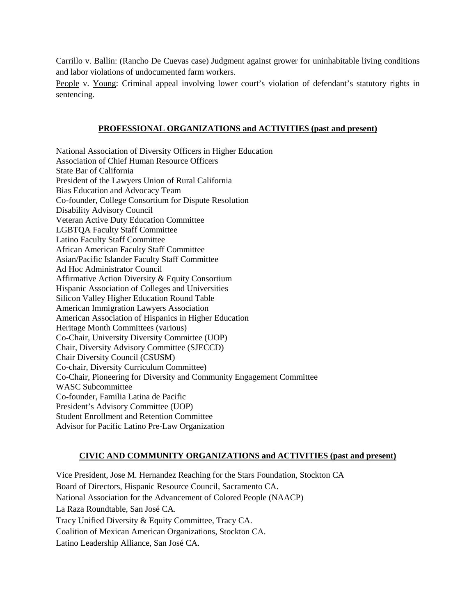Carrillo v. Ballin: (Rancho De Cuevas case) Judgment against grower for uninhabitable living conditions and labor violations of undocumented farm workers.

People v. Young: Criminal appeal involving lower court's violation of defendant's statutory rights in sentencing.

#### **PROFESSIONAL ORGANIZATIONS and ACTIVITIES (past and present)**

National Association of Diversity Officers in Higher Education Association of Chief Human Resource Officers State Bar of California President of the Lawyers Union of Rural California Bias Education and Advocacy Team Co-founder, College Consortium for Dispute Resolution Disability Advisory Council Veteran Active Duty Education Committee LGBTQA Faculty Staff Committee Latino Faculty Staff Committee African American Faculty Staff Committee Asian/Pacific Islander Faculty Staff Committee Ad Hoc Administrator Council Affirmative Action Diversity & Equity Consortium Hispanic Association of Colleges and Universities Silicon Valley Higher Education Round Table American Immigration Lawyers Association American Association of Hispanics in Higher Education Heritage Month Committees (various) Co-Chair, University Diversity Committee (UOP) Chair, Diversity Advisory Committee (SJECCD) Chair Diversity Council (CSUSM) Co-chair, Diversity Curriculum Committee) Co-Chair, Pioneering for Diversity and Community Engagement Committee WASC Subcommittee Co-founder, Familia Latina de Pacific President's Advisory Committee (UOP) Student Enrollment and Retention Committee Advisor for Pacific Latino Pre-Law Organization

#### **CIVIC AND COMMUNITY ORGANIZATIONS and ACTIVITIES (past and present)**

Vice President, Jose M. Hernandez Reaching for the Stars Foundation, Stockton CA Board of Directors, Hispanic Resource Council, Sacramento CA. National Association for the Advancement of Colored People (NAACP) La Raza Roundtable, San José CA. Tracy Unified Diversity & Equity Committee, Tracy CA. Coalition of Mexican American Organizations, Stockton CA. Latino Leadership Alliance, San José CA.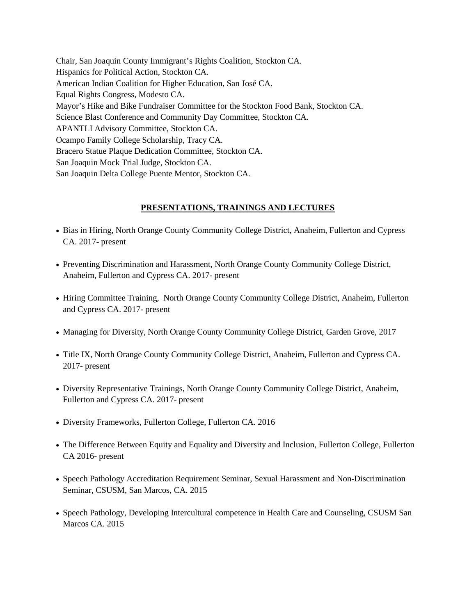Chair, San Joaquin County Immigrant's Rights Coalition, Stockton CA. Hispanics for Political Action, Stockton CA. American Indian Coalition for Higher Education, San José CA. Equal Rights Congress, Modesto CA. Mayor's Hike and Bike Fundraiser Committee for the Stockton Food Bank, Stockton CA. Science Blast Conference and Community Day Committee, Stockton CA. APANTLI Advisory Committee, Stockton CA. Ocampo Family College Scholarship, Tracy CA. Bracero Statue Plaque Dedication Committee, Stockton CA. San Joaquin Mock Trial Judge, Stockton CA. San Joaquin Delta College Puente Mentor, Stockton CA.

#### **PRESENTATIONS, TRAININGS AND LECTURES**

- Bias in Hiring, North Orange County Community College District, Anaheim, Fullerton and Cypress CA. 2017- present
- Preventing Discrimination and Harassment, North Orange County Community College District, Anaheim, Fullerton and Cypress CA. 2017- present
- Hiring Committee Training, North Orange County Community College District, Anaheim, Fullerton and Cypress CA. 2017- present
- Managing for Diversity, North Orange County Community College District, Garden Grove, 2017
- Title IX, North Orange County Community College District, Anaheim, Fullerton and Cypress CA. 2017- present
- Diversity Representative Trainings, North Orange County Community College District, Anaheim, Fullerton and Cypress CA. 2017- present
- Diversity Frameworks, Fullerton College, Fullerton CA. 2016
- The Difference Between Equity and Equality and Diversity and Inclusion, Fullerton College, Fullerton CA 2016- present
- Speech Pathology Accreditation Requirement Seminar, Sexual Harassment and Non-Discrimination Seminar, CSUSM, San Marcos, CA. 2015
- Speech Pathology, Developing Intercultural competence in Health Care and Counseling, CSUSM San Marcos CA. 2015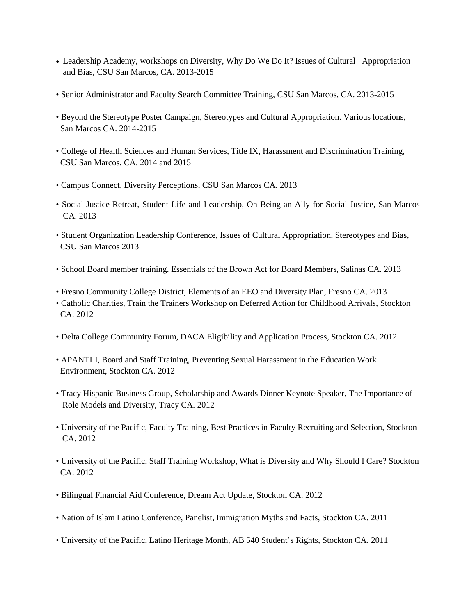- Leadership Academy, workshops on Diversity, Why Do We Do It? Issues of Cultural Appropriation and Bias, CSU San Marcos, CA. 2013-2015
- Senior Administrator and Faculty Search Committee Training, CSU San Marcos, CA. 2013-2015
- Beyond the Stereotype Poster Campaign, Stereotypes and Cultural Appropriation. Various locations, San Marcos CA. 2014-2015
- College of Health Sciences and Human Services, Title IX, Harassment and Discrimination Training, CSU San Marcos, CA. 2014 and 2015
- Campus Connect, Diversity Perceptions, CSU San Marcos CA. 2013
- Social Justice Retreat, Student Life and Leadership, On Being an Ally for Social Justice, San Marcos CA. 2013
- Student Organization Leadership Conference, Issues of Cultural Appropriation, Stereotypes and Bias, CSU San Marcos 2013
- School Board member training. Essentials of the Brown Act for Board Members, Salinas CA. 2013
- Fresno Community College District, Elements of an EEO and Diversity Plan, Fresno CA. 2013
- Catholic Charities, Train the Trainers Workshop on Deferred Action for Childhood Arrivals, Stockton CA. 2012
- Delta College Community Forum, DACA Eligibility and Application Process, Stockton CA. 2012
- APANTLI, Board and Staff Training, Preventing Sexual Harassment in the Education Work Environment, Stockton CA. 2012
- Tracy Hispanic Business Group, Scholarship and Awards Dinner Keynote Speaker, The Importance of Role Models and Diversity, Tracy CA. 2012
- University of the Pacific, Faculty Training, Best Practices in Faculty Recruiting and Selection, Stockton CA. 2012
- University of the Pacific, Staff Training Workshop, What is Diversity and Why Should I Care? Stockton CA. 2012
- Bilingual Financial Aid Conference, Dream Act Update, Stockton CA. 2012
- Nation of Islam Latino Conference, Panelist, Immigration Myths and Facts, Stockton CA. 2011
- University of the Pacific, Latino Heritage Month, AB 540 Student's Rights, Stockton CA. 2011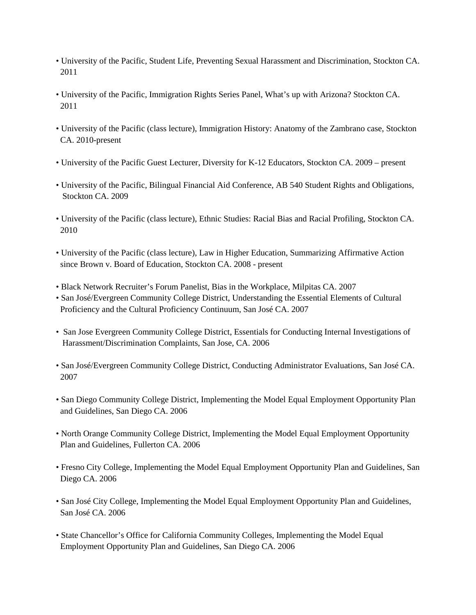- University of the Pacific, Student Life, Preventing Sexual Harassment and Discrimination, Stockton CA. 2011
- University of the Pacific, Immigration Rights Series Panel, What's up with Arizona? Stockton CA. 2011
- University of the Pacific (class lecture), Immigration History: Anatomy of the Zambrano case, Stockton CA. 2010-present
- University of the Pacific Guest Lecturer, Diversity for K-12 Educators, Stockton CA. 2009 present
- University of the Pacific, Bilingual Financial Aid Conference, AB 540 Student Rights and Obligations, Stockton CA. 2009
- University of the Pacific (class lecture), Ethnic Studies: Racial Bias and Racial Profiling, Stockton CA. 2010
- University of the Pacific (class lecture), Law in Higher Education, Summarizing Affirmative Action since Brown v. Board of Education, Stockton CA. 2008 - present
- Black Network Recruiter's Forum Panelist, Bias in the Workplace, Milpitas CA. 2007
- San José/Evergreen Community College District, Understanding the Essential Elements of Cultural Proficiency and the Cultural Proficiency Continuum, San José CA. 2007
- San Jose Evergreen Community College District, Essentials for Conducting Internal Investigations of Harassment/Discrimination Complaints, San Jose, CA. 2006
- San José/Evergreen Community College District, Conducting Administrator Evaluations, San José CA. 2007
- San Diego Community College District, Implementing the Model Equal Employment Opportunity Plan and Guidelines, San Diego CA. 2006
- North Orange Community College District, Implementing the Model Equal Employment Opportunity Plan and Guidelines, Fullerton CA. 2006
- Fresno City College, Implementing the Model Equal Employment Opportunity Plan and Guidelines, San Diego CA. 2006
- San José City College, Implementing the Model Equal Employment Opportunity Plan and Guidelines, San José CA. 2006
- State Chancellor's Office for California Community Colleges, Implementing the Model Equal Employment Opportunity Plan and Guidelines, San Diego CA. 2006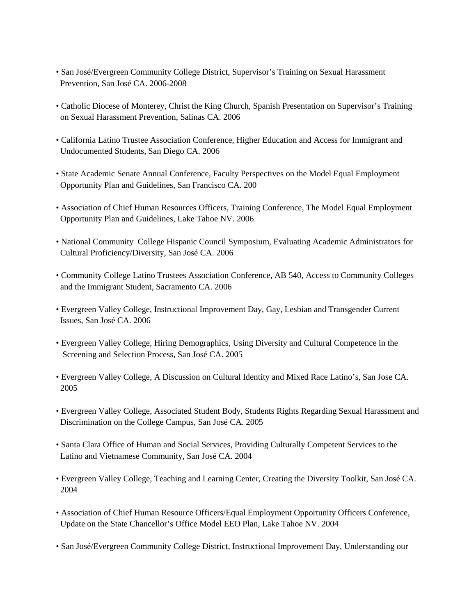- San José/Evergreen Community College District, Supervisor's Training on Sexual Harassment Prevention, San José CA. 2006-2008
- Catholic Diocese of Monterey, Christ the King Church, Spanish Presentation on Supervisor's Training on Sexual Harassment Prevention, Salinas CA. 2006
- California Latino Trustee Association Conference, Higher Education and Access for Immigrant and Undocumented Students, San Diego CA. 2006
- State Academic Senate Annual Conference, Faculty Perspectives on the Model Equal Employment Opportunity Plan and Guidelines, San Francisco CA. 200
- Association of Chief Human Resources Officers, Training Conference, The Model Equal Employment Opportunity Plan and Guidelines, Lake Tahoe NV. 2006
- National Community College Hispanic Council Symposium, Evaluating Academic Administrators for Cultural Proficiency/Diversity, San José CA. 2006
- Community College Latino Trustees Association Conference, AB 540, Access to Community Colleges and the Immigrant Student, Sacramento CA. 2006
- Evergreen Valley College, Instructional Improvement Day, Gay, Lesbian and Transgender Current Issues, San José CA. 2006
- Evergreen Valley College, Hiring Demographics, Using Diversity and Cultural Competence in the Screening and Selection Process, San José CA. 2005
- Evergreen Valley College, A Discussion on Cultural Identity and Mixed Race Latino's, San Jose CA. 2005
- Evergreen Valley College, Associated Student Body, Students Rights Regarding Sexual Harassment and Discrimination on the College Campus, San José CA. 2005
- Santa Clara Office of Human and Social Services, Providing Culturally Competent Services to the Latino and Vietnamese Community, San José CA. 2004
- Evergreen Valley College, Teaching and Learning Center, Creating the Diversity Toolkit, San José CA. 2004
- Association of Chief Human Resource Officers/Equal Employment Opportunity Officers Conference, Update on the State Chancellor's Office Model EEO Plan, Lake Tahoe NV. 2004
- San José/Evergreen Community College District, Instructional Improvement Day, Understanding our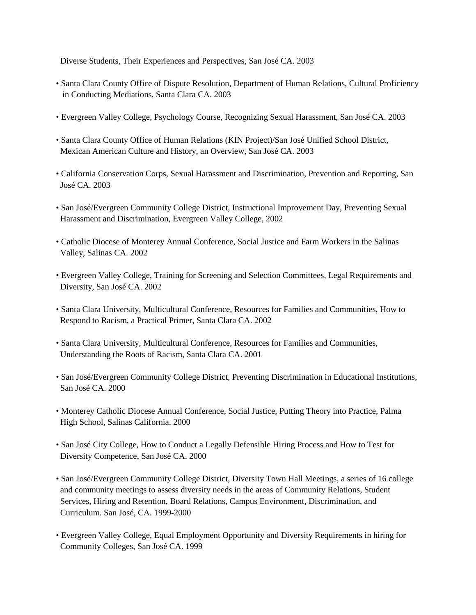Diverse Students, Their Experiences and Perspectives, San José CA. 2003

- Santa Clara County Office of Dispute Resolution, Department of Human Relations, Cultural Proficiency in Conducting Mediations, Santa Clara CA. 2003
- Evergreen Valley College, Psychology Course, Recognizing Sexual Harassment, San José CA. 2003
- Santa Clara County Office of Human Relations (KIN Project)/San José Unified School District, Mexican American Culture and History, an Overview, San José CA. 2003
- California Conservation Corps, Sexual Harassment and Discrimination, Prevention and Reporting, San José CA. 2003
- San José/Evergreen Community College District, Instructional Improvement Day, Preventing Sexual Harassment and Discrimination, Evergreen Valley College, 2002
- Catholic Diocese of Monterey Annual Conference, Social Justice and Farm Workers in the Salinas Valley, Salinas CA. 2002
- Evergreen Valley College, Training for Screening and Selection Committees, Legal Requirements and Diversity, San José CA. 2002
- Santa Clara University, Multicultural Conference, Resources for Families and Communities, How to Respond to Racism, a Practical Primer, Santa Clara CA. 2002
- Santa Clara University, Multicultural Conference, Resources for Families and Communities, Understanding the Roots of Racism, Santa Clara CA. 2001
- San José/Evergreen Community College District, Preventing Discrimination in Educational Institutions, San José CA. 2000
- Monterey Catholic Diocese Annual Conference, Social Justice, Putting Theory into Practice, Palma High School, Salinas California. 2000
- San José City College, How to Conduct a Legally Defensible Hiring Process and How to Test for Diversity Competence, San José CA. 2000
- San José/Evergreen Community College District, Diversity Town Hall Meetings, a series of 16 college and community meetings to assess diversity needs in the areas of Community Relations, Student Services, Hiring and Retention, Board Relations, Campus Environment, Discrimination, and Curriculum. San José, CA. 1999-2000
- Evergreen Valley College, Equal Employment Opportunity and Diversity Requirements in hiring for Community Colleges, San José CA. 1999